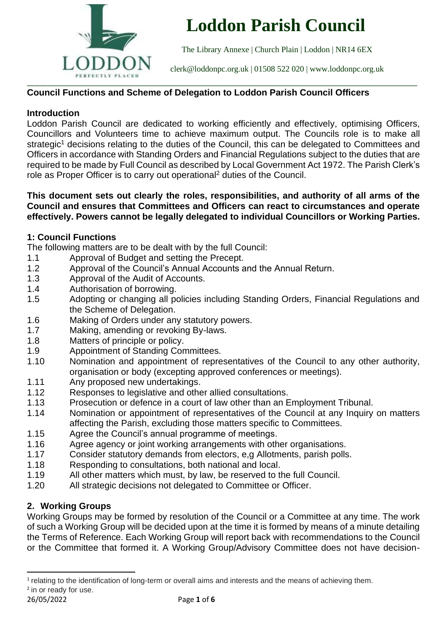

# **Loddon Parish Council**

The Library Annexe | Church Plain | Loddon | NR14 6EX

[clerk@loddonpc.org.uk](mailto:clerk@loddonpc.org.uk) | 01508 522 020 | www.loddonpc.org.uk

# **Council Functions and Scheme of Delegation to Loddon Parish Council Officers**

### **Introduction**

Loddon Parish Council are dedicated to working efficiently and effectively, optimising Officers, Councillors and Volunteers time to achieve maximum output. The Councils role is to make all strategic<sup>1</sup> decisions relating to the duties of the Council, this can be delegated to Committees and Officers in accordance with Standing Orders and Financial Regulations subject to the duties that are required to be made by Full Council as described by Local Government Act 1972. The Parish Clerk's role as Proper Officer is to carry out operational<sup>2</sup> duties of the Council.

#### **This document sets out clearly the roles, responsibilities, and authority of all arms of the Council and ensures that Committees and Officers can react to circumstances and operate effectively. Powers cannot be legally delegated to individual Councillors or Working Parties.**

### **1: Council Functions**

The following matters are to be dealt with by the full Council:

- 1.1 Approval of Budget and setting the Precept.
- 1.2 Approval of the Council's Annual Accounts and the Annual Return.
- 1.3 Approval of the Audit of Accounts.
- 1.4 Authorisation of borrowing.
- 1.5 Adopting or changing all policies including Standing Orders, Financial Regulations and the Scheme of Delegation.
- 1.6 Making of Orders under any statutory powers.
- 1.7 Making, amending or revoking By-laws.
- 1.8 Matters of principle or policy.
- 1.9 Appointment of Standing Committees.
- 1.10 Nomination and appointment of representatives of the Council to any other authority, organisation or body (excepting approved conferences or meetings).
- 1.11 Any proposed new undertakings.
- 1.12 Responses to legislative and other allied consultations.
- 1.13 Prosecution or defence in a court of law other than an Employment Tribunal.
- 1.14 Nomination or appointment of representatives of the Council at any Inquiry on matters affecting the Parish, excluding those matters specific to Committees.
- 1.15 Agree the Council's annual programme of meetings.
- 1.16 Agree agency or joint working arrangements with other organisations.
- 1.17 Consider statutory demands from electors, e,g Allotments, parish polls.
- 1.18 Responding to consultations, both national and local.
- 1.19 All other matters which must, by law, be reserved to the full Council.
- 1.20 All strategic decisions not delegated to Committee or Officer.

# **2. Working Groups**

Working Groups may be formed by resolution of the Council or a Committee at any time. The work of such a Working Group will be decided upon at the time it is formed by means of a minute detailing the Terms of Reference. Each Working Group will report back with recommendations to the Council or the Committee that formed it. A Working Group/Advisory Committee does not have decision-

<sup>&</sup>lt;sup>1</sup> relating to the identification of long-term or overall aims and interests and the means of achieving them. <sup>2</sup> in or ready for use.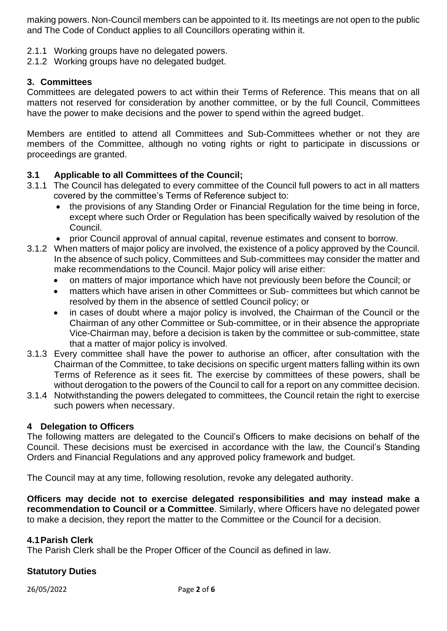making powers. Non-Council members can be appointed to it. Its meetings are not open to the public and The Code of Conduct applies to all Councillors operating within it.

- 2.1.1 Working groups have no delegated powers.
- 2.1.2 Working groups have no delegated budget.

## **3. Committees**

Committees are delegated powers to act within their Terms of Reference. This means that on all matters not reserved for consideration by another committee, or by the full Council, Committees have the power to make decisions and the power to spend within the agreed budget.

Members are entitled to attend all Committees and Sub-Committees whether or not they are members of the Committee, although no voting rights or right to participate in discussions or proceedings are granted.

# **3.1 Applicable to all Committees of the Council;**

- 3.1.1 The Council has delegated to every committee of the Council full powers to act in all matters covered by the committee's Terms of Reference subject to:
	- the provisions of any Standing Order or Financial Regulation for the time being in force, except where such Order or Regulation has been specifically waived by resolution of the Council.
	- prior Council approval of annual capital, revenue estimates and consent to borrow.
- 3.1.2 When matters of major policy are involved, the existence of a policy approved by the Council. In the absence of such policy, Committees and Sub-committees may consider the matter and make recommendations to the Council. Major policy will arise either:
	- on matters of major importance which have not previously been before the Council; or
	- matters which have arisen in other Committees or Sub- committees but which cannot be resolved by them in the absence of settled Council policy; or
	- in cases of doubt where a major policy is involved, the Chairman of the Council or the Chairman of any other Committee or Sub-committee, or in their absence the appropriate Vice-Chairman may, before a decision is taken by the committee or sub-committee, state that a matter of major policy is involved.
- 3.1.3 Every committee shall have the power to authorise an officer, after consultation with the Chairman of the Committee, to take decisions on specific urgent matters falling within its own Terms of Reference as it sees fit. The exercise by committees of these powers, shall be without derogation to the powers of the Council to call for a report on any committee decision.
- 3.1.4 Notwithstanding the powers delegated to committees, the Council retain the right to exercise such powers when necessary.

### **4 Delegation to Officers**

The following matters are delegated to the Council's Officers to make decisions on behalf of the Council. These decisions must be exercised in accordance with the law, the Council's Standing Orders and Financial Regulations and any approved policy framework and budget.

The Council may at any time, following resolution, revoke any delegated authority.

**Officers may decide not to exercise delegated responsibilities and may instead make a recommendation to Council or a Committee**. Similarly, where Officers have no delegated power to make a decision, they report the matter to the Committee or the Council for a decision.

### **4.1Parish Clerk**

The Parish Clerk shall be the Proper Officer of the Council as defined in law.

# **Statutory Duties**

26/05/2022 Page **2** of **6**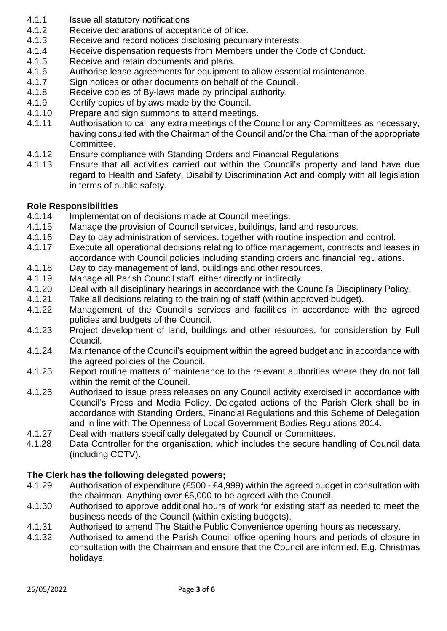- 4.1.1 **Issue all statutory notifications**
- 4.1.2 Receive declarations of acceptance of office.
- 4.1.3 Receive and record notices disclosing pecuniary interests.
- 4.1.4 Receive dispensation requests from Members under the Code of Conduct.
- 4.1.5 Receive and retain documents and plans.
- 4.1.6 Authorise lease agreements for equipment to allow essential maintenance.
- 4.1.7 Sign notices or other documents on behalf of the Council.
- 4.1.8 Receive copies of By-laws made by principal authority.
- 4.1.9 Certify copies of bylaws made by the Council.
- 4.1.10 Prepare and sign summons to attend meetings.
- 4.1.11 Authorisation to call any extra meetings of the Council or any Committees as necessary, having consulted with the Chairman of the Council and/or the Chairman of the appropriate Committee.
- 4.1.12 Ensure compliance with Standing Orders and Financial Regulations.
- 4.1.13 Ensure that all activities carried out within the Council's property and land have due regard to Health and Safety, Disability Discrimination Act and comply with all legislation in terms of public safety.

# **Role Responsibilities**

- 4.1.14 Implementation of decisions made at Council meetings.
- 4.1.15 Manage the provision of Council services, buildings, land and resources.
- 4.1.16 Day to day administration of services, together with routine inspection and control.
- 4.1.17 Execute all operational decisions relating to office management, contracts and leases in accordance with Council policies including standing orders and financial regulations.
- 4.1.18 Day to day management of land, buildings and other resources.
- 4.1.19 Manage all Parish Council staff, either directly or indirectly.
- 4.1.20 Deal with all disciplinary hearings in accordance with the Council's Disciplinary Policy.
- 4.1.21 Take all decisions relating to the training of staff (within approved budget).
- 4.1.22 Management of the Council's services and facilities in accordance with the agreed policies and budgets of the Council.
- 4.1.23 Project development of land, buildings and other resources, for consideration by Full Council.
- 4.1.24 Maintenance of the Council's equipment within the agreed budget and in accordance with the agreed policies of the Council.
- 4.1.25 Report routine matters of maintenance to the relevant authorities where they do not fall within the remit of the Council.
- 4.1.26 Authorised to issue press releases on any Council activity exercised in accordance with Council's Press and Media Policy. Delegated actions of the Parish Clerk shall be in accordance with Standing Orders, Financial Regulations and this Scheme of Delegation and in line with The Openness of Local Government Bodies Regulations 2014.
- 4.1.27 Deal with matters specifically delegated by Council or Committees.
- 4.1.28 Data Controller for the organisation, which includes the secure handling of Council data (including CCTV).

# **The Clerk has the following delegated powers;**

- 4.1.29 Authorisation of expenditure (£500 £4,999) within the agreed budget in consultation with the chairman. Anything over £5,000 to be agreed with the Council.
- 4.1.30 Authorised to approve additional hours of work for existing staff as needed to meet the business needs of the Council (within existing budgets).
- 4.1.31 Authorised to amend The Staithe Public Convenience opening hours as necessary.
- 4.1.32 Authorised to amend the Parish Council office opening hours and periods of closure in consultation with the Chairman and ensure that the Council are informed. E.g. Christmas holidays.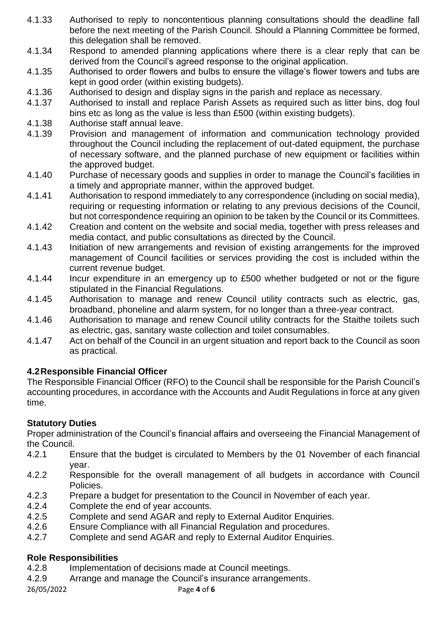- 4.1.33 Authorised to reply to noncontentious planning consultations should the deadline fall before the next meeting of the Parish Council. Should a Planning Committee be formed, this delegation shall be removed.
- 4.1.34 Respond to amended planning applications where there is a clear reply that can be derived from the Council's agreed response to the original application.
- 4.1.35 Authorised to order flowers and bulbs to ensure the village's flower towers and tubs are kept in good order (within existing budgets).
- 4.1.36 Authorised to design and display signs in the parish and replace as necessary.
- 4.1.37 Authorised to install and replace Parish Assets as required such as litter bins, dog foul bins etc as long as the value is less than £500 (within existing budgets).
- 4.1.38 Authorise staff annual leave.
- 4.1.39 Provision and management of information and communication technology provided throughout the Council including the replacement of out-dated equipment, the purchase of necessary software, and the planned purchase of new equipment or facilities within the approved budget.
- 4.1.40 Purchase of necessary goods and supplies in order to manage the Council's facilities in a timely and appropriate manner, within the approved budget.
- 4.1.41 Authorisation to respond immediately to any correspondence (including on social media), requiring or requesting information or relating to any previous decisions of the Council, but not correspondence requiring an opinion to be taken by the Council or its Committees.
- 4.1.42 Creation and content on the website and social media, together with press releases and media contact, and public consultations as directed by the Council.
- 4.1.43 Initiation of new arrangements and revision of existing arrangements for the improved management of Council facilities or services providing the cost is included within the current revenue budget.
- 4.1.44 Incur expenditure in an emergency up to £500 whether budgeted or not or the figure stipulated in the Financial Regulations.
- 4.1.45 Authorisation to manage and renew Council utility contracts such as electric, gas, broadband, phoneline and alarm system, for no longer than a three-year contract.
- 4.1.46 Authorisation to manage and renew Council utility contracts for the Staithe toilets such as electric, gas, sanitary waste collection and toilet consumables.
- 4.1.47 Act on behalf of the Council in an urgent situation and report back to the Council as soon as practical.

# **4.2Responsible Financial Officer**

The Responsible Financial Officer (RFO) to the Council shall be responsible for the Parish Council's accounting procedures, in accordance with the Accounts and Audit Regulations in force at any given time.

# **Statutory Duties**

Proper administration of the Council's financial affairs and overseeing the Financial Management of the Council.

- 4.2.1 Ensure that the budget is circulated to Members by the 01 November of each financial year.
- 4.2.2 Responsible for the overall management of all budgets in accordance with Council Policies.
- 4.2.3 Prepare a budget for presentation to the Council in November of each year.
- 4.2.4 Complete the end of year accounts.
- 4.2.5 Complete and send AGAR and reply to External Auditor Enquiries.
- 4.2.6 Ensure Compliance with all Financial Regulation and procedures.
- 4.2.7 Complete and send AGAR and reply to External Auditor Enquiries.

# **Role Responsibilities**

- 4.2.8 Implementation of decisions made at Council meetings.
- 4.2.9 Arrange and manage the Council's insurance arrangements.

26/05/2022 Page **4** of **6**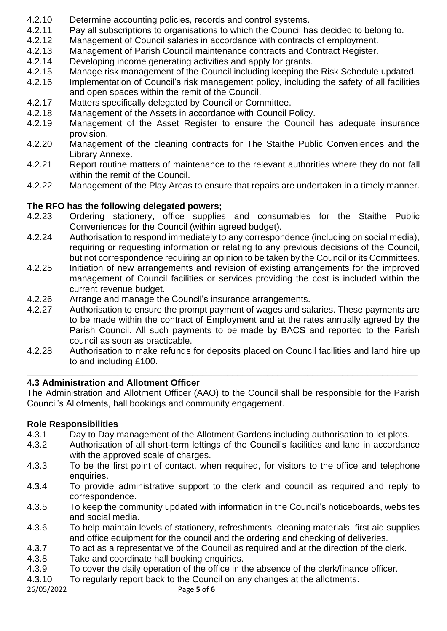- 4.2.10 Determine accounting policies, records and control systems.
- 4.2.11 Pay all subscriptions to organisations to which the Council has decided to belong to.
- 4.2.12 Management of Council salaries in accordance with contracts of employment.
- 4.2.13 Management of Parish Council maintenance contracts and Contract Register.
- 4.2.14 Developing income generating activities and apply for grants.
- 4.2.15 Manage risk management of the Council including keeping the Risk Schedule updated.
- 4.2.16 Implementation of Council's risk management policy, including the safety of all facilities and open spaces within the remit of the Council.
- 4.2.17 Matters specifically delegated by Council or Committee.
- 4.2.18 Management of the Assets in accordance with Council Policy.
- 4.2.19 Management of the Asset Register to ensure the Council has adequate insurance provision.
- 4.2.20 Management of the cleaning contracts for The Staithe Public Conveniences and the Library Annexe.
- 4.2.21 Report routine matters of maintenance to the relevant authorities where they do not fall within the remit of the Council.
- 4.2.22 Management of the Play Areas to ensure that repairs are undertaken in a timely manner.

# **The RFO has the following delegated powers;**

- 4.2.23 Ordering stationery, office supplies and consumables for the Staithe Public Conveniences for the Council (within agreed budget).
- 4.2.24 Authorisation to respond immediately to any correspondence (including on social media), requiring or requesting information or relating to any previous decisions of the Council, but not correspondence requiring an opinion to be taken by the Council or its Committees.
- 4.2.25 Initiation of new arrangements and revision of existing arrangements for the improved management of Council facilities or services providing the cost is included within the current revenue budget.
- 4.2.26 Arrange and manage the Council's insurance arrangements.
- 4.2.27 Authorisation to ensure the prompt payment of wages and salaries. These payments are to be made within the contract of Employment and at the rates annually agreed by the Parish Council. All such payments to be made by BACS and reported to the Parish council as soon as practicable.
- 4.2.28 Authorisation to make refunds for deposits placed on Council facilities and land hire up to and including £100.

\_\_\_\_\_\_\_\_\_\_\_\_\_\_\_\_\_\_\_\_\_\_\_\_\_\_\_\_\_\_\_\_\_\_\_\_\_\_\_\_\_\_\_\_\_\_\_\_\_\_\_\_\_\_\_\_\_\_\_\_\_\_\_\_\_\_\_\_\_\_\_\_\_\_\_\_\_\_

# **4.3 Administration and Allotment Officer**

The Administration and Allotment Officer (AAO) to the Council shall be responsible for the Parish Council's Allotments, hall bookings and community engagement.

# **Role Responsibilities**

- 4.3.1 Day to Day management of the Allotment Gardens including authorisation to let plots.
- 4.3.2 Authorisation of all short-term lettings of the Council's facilities and land in accordance with the approved scale of charges.
- 4.3.3 To be the first point of contact, when required, for visitors to the office and telephone enquiries.
- 4.3.4 To provide administrative support to the clerk and council as required and reply to correspondence.
- 4.3.5 To keep the community updated with information in the Council's noticeboards, websites and social media.
- 4.3.6 To help maintain levels of stationery, refreshments, cleaning materials, first aid supplies and office equipment for the council and the ordering and checking of deliveries.
- 4.3.7 To act as a representative of the Council as required and at the direction of the clerk.
- 4.3.8 Take and coordinate hall booking enquiries.
- 4.3.9 To cover the daily operation of the office in the absence of the clerk/finance officer.
- 4.3.10 To regularly report back to the Council on any changes at the allotments.

26/05/2022 Page **5** of **6**